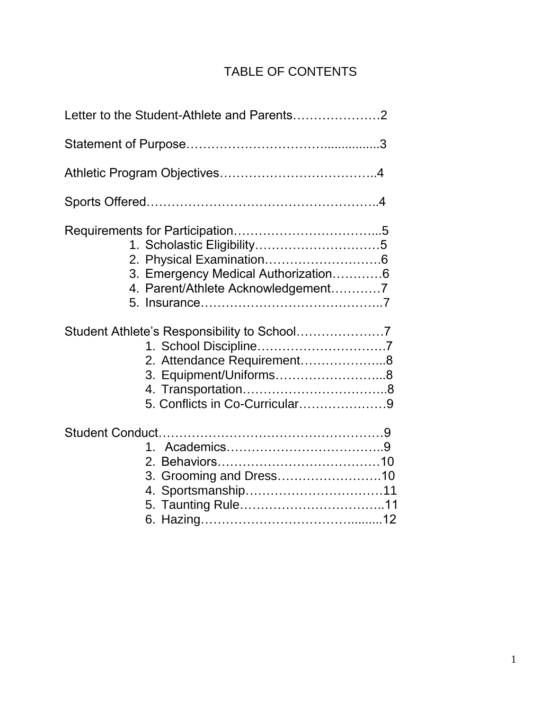# TABLE OF CONTENTS

|  | 3. Emergency Medical Authorization6<br>4. Parent/Athlete Acknowledgement7              |  |
|--|----------------------------------------------------------------------------------------|--|
|  | 2. Attendance Requirement8<br>3. Equipment/Uniforms8<br>5. Conflicts in Co-Curricular9 |  |
|  | 3. Grooming and Dress10                                                                |  |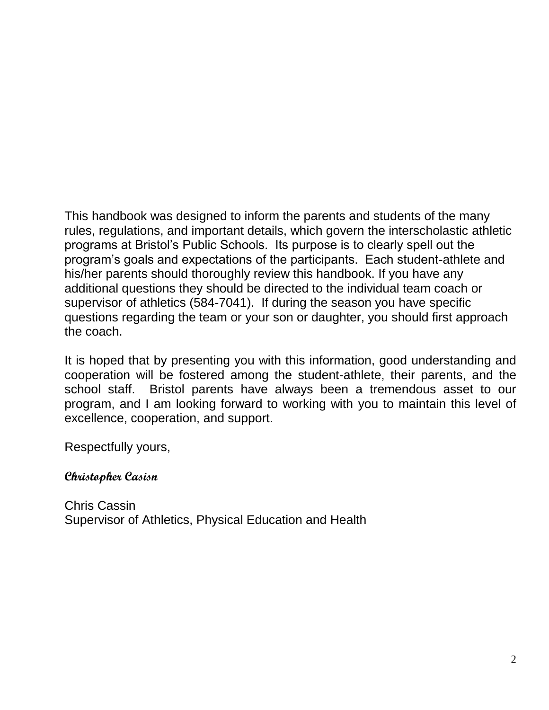This handbook was designed to inform the parents and students of the many rules, regulations, and important details, which govern the interscholastic athletic programs at Bristol's Public Schools. Its purpose is to clearly spell out the program's goals and expectations of the participants. Each student-athlete and his/her parents should thoroughly review this handbook. If you have any additional questions they should be directed to the individual team coach or supervisor of athletics (584-7041). If during the season you have specific questions regarding the team or your son or daughter, you should first approach the coach.

It is hoped that by presenting you with this information, good understanding and cooperation will be fostered among the student-athlete, their parents, and the school staff. Bristol parents have always been a tremendous asset to our program, and I am looking forward to working with you to maintain this level of excellence, cooperation, and support.

Respectfully yours,

#### **Christopher Casisn**

Chris Cassin Supervisor of Athletics, Physical Education and Health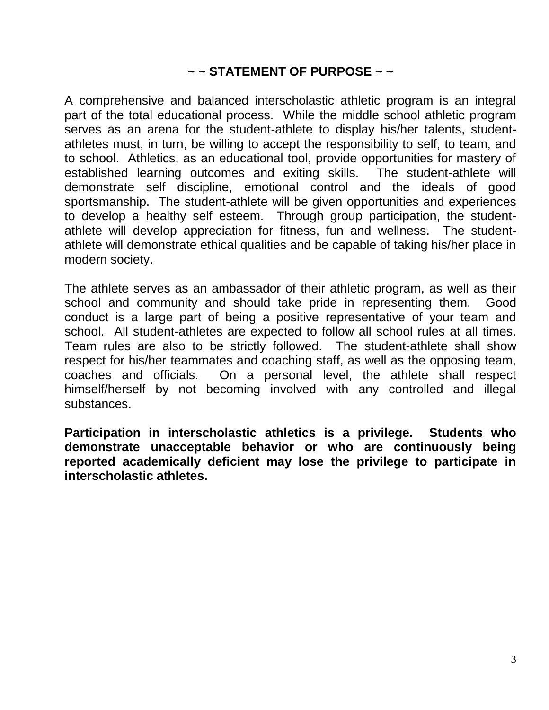#### **~ ~ STATEMENT OF PURPOSE ~ ~**

A comprehensive and balanced interscholastic athletic program is an integral part of the total educational process. While the middle school athletic program serves as an arena for the student-athlete to display his/her talents, studentathletes must, in turn, be willing to accept the responsibility to self, to team, and to school. Athletics, as an educational tool, provide opportunities for mastery of established learning outcomes and exiting skills. The student-athlete will demonstrate self discipline, emotional control and the ideals of good sportsmanship. The student-athlete will be given opportunities and experiences to develop a healthy self esteem. Through group participation, the studentathlete will develop appreciation for fitness, fun and wellness. The studentathlete will demonstrate ethical qualities and be capable of taking his/her place in modern society.

The athlete serves as an ambassador of their athletic program, as well as their school and community and should take pride in representing them. Good conduct is a large part of being a positive representative of your team and school. All student-athletes are expected to follow all school rules at all times. Team rules are also to be strictly followed. The student-athlete shall show respect for his/her teammates and coaching staff, as well as the opposing team, coaches and officials. On a personal level, the athlete shall respect himself/herself by not becoming involved with any controlled and illegal substances.

**Participation in interscholastic athletics is a privilege. Students who demonstrate unacceptable behavior or who are continuously being reported academically deficient may lose the privilege to participate in interscholastic athletes.**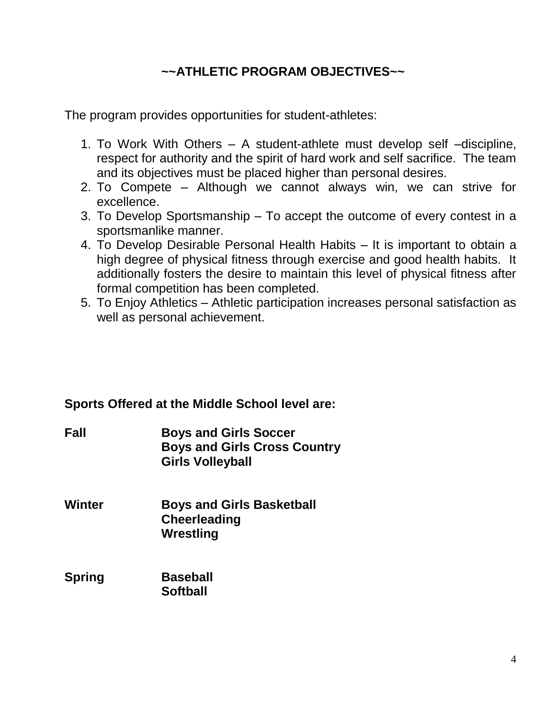## **~~ATHLETIC PROGRAM OBJECTIVES~~**

The program provides opportunities for student-athletes:

- 1. To Work With Others A student-athlete must develop self –discipline, respect for authority and the spirit of hard work and self sacrifice. The team and its objectives must be placed higher than personal desires.
- 2. To Compete Although we cannot always win, we can strive for excellence.
- 3. To Develop Sportsmanship To accept the outcome of every contest in a sportsmanlike manner.
- 4. To Develop Desirable Personal Health Habits It is important to obtain a high degree of physical fitness through exercise and good health habits. It additionally fosters the desire to maintain this level of physical fitness after formal competition has been completed.
- 5. To Enjoy Athletics Athletic participation increases personal satisfaction as well as personal achievement.

#### **Sports Offered at the Middle School level are:**

- **Fall Boys and Girls Soccer Boys and Girls Cross Country Girls Volleyball**
- **Winter Boys and Girls Basketball Cheerleading Wrestling**
- **Spring Baseball Softball**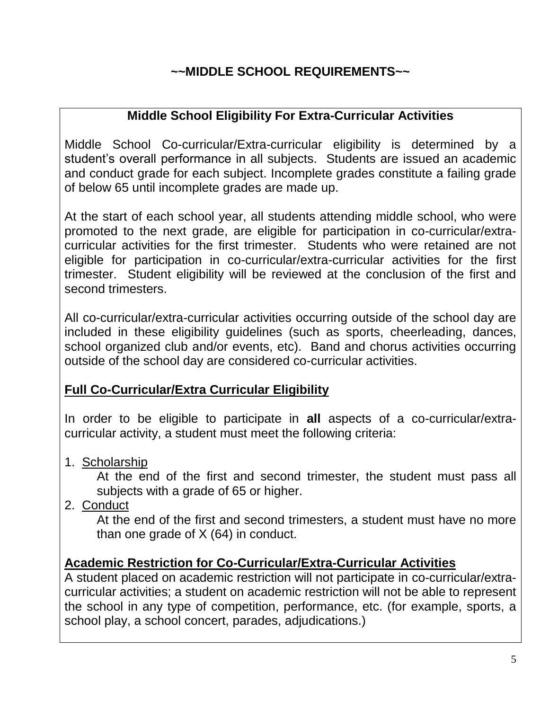## **~~MIDDLE SCHOOL REQUIREMENTS~~**

## **Middle School Eligibility For Extra-Curricular Activities**

Middle School Co-curricular/Extra-curricular eligibility is determined by a student's overall performance in all subjects. Students are issued an academic and conduct grade for each subject. Incomplete grades constitute a failing grade of below 65 until incomplete grades are made up.

At the start of each school year, all students attending middle school, who were promoted to the next grade, are eligible for participation in co-curricular/extracurricular activities for the first trimester. Students who were retained are not eligible for participation in co-curricular/extra-curricular activities for the first trimester. Student eligibility will be reviewed at the conclusion of the first and second trimesters.

All co-curricular/extra-curricular activities occurring outside of the school day are included in these eligibility guidelines (such as sports, cheerleading, dances, school organized club and/or events, etc). Band and chorus activities occurring outside of the school day are considered co-curricular activities.

### **Full Co-Curricular/Extra Curricular Eligibility**

In order to be eligible to participate in **all** aspects of a co-curricular/extracurricular activity, a student must meet the following criteria:

1. Scholarship

At the end of the first and second trimester, the student must pass all subjects with a grade of 65 or higher.

2. Conduct

At the end of the first and second trimesters, a student must have no more than one grade of X (64) in conduct.

### **Academic Restriction for Co-Curricular/Extra-Curricular Activities**

A student placed on academic restriction will not participate in co-curricular/extracurricular activities; a student on academic restriction will not be able to represent the school in any type of competition, performance, etc. (for example, sports, a school play, a school concert, parades, adjudications.)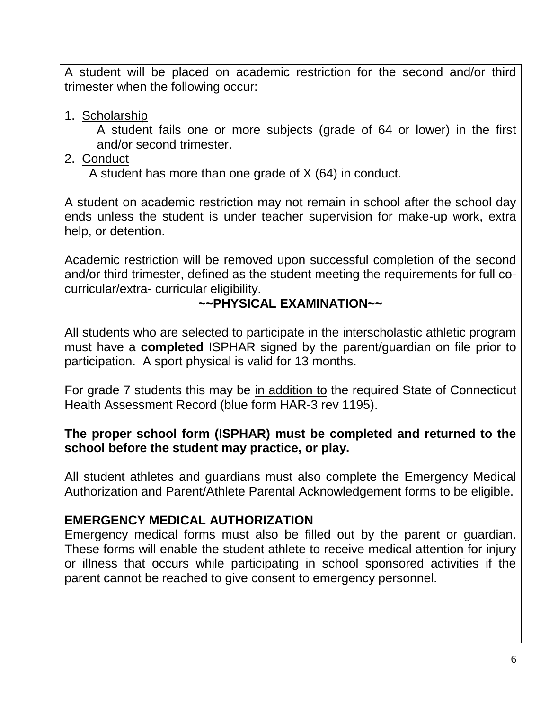A student will be placed on academic restriction for the second and/or third trimester when the following occur:

1. Scholarship

A student fails one or more subjects (grade of 64 or lower) in the first and/or second trimester.

2. Conduct

A student has more than one grade of X (64) in conduct.

A student on academic restriction may not remain in school after the school day ends unless the student is under teacher supervision for make-up work, extra help, or detention.

Academic restriction will be removed upon successful completion of the second and/or third trimester, defined as the student meeting the requirements for full cocurricular/extra- curricular eligibility.

### **~~PHYSICAL EXAMINATION~~**

All students who are selected to participate in the interscholastic athletic program must have a **completed** ISPHAR signed by the parent/guardian on file prior to participation. A sport physical is valid for 13 months.

For grade 7 students this may be in addition to the required State of Connecticut Health Assessment Record (blue form HAR-3 rev 1195).

### **The proper school form (ISPHAR) must be completed and returned to the school before the student may practice, or play.**

All student athletes and guardians must also complete the Emergency Medical Authorization and Parent/Athlete Parental Acknowledgement forms to be eligible.

### **EMERGENCY MEDICAL AUTHORIZATION**

Emergency medical forms must also be filled out by the parent or guardian. These forms will enable the student athlete to receive medical attention for injury or illness that occurs while participating in school sponsored activities if the parent cannot be reached to give consent to emergency personnel.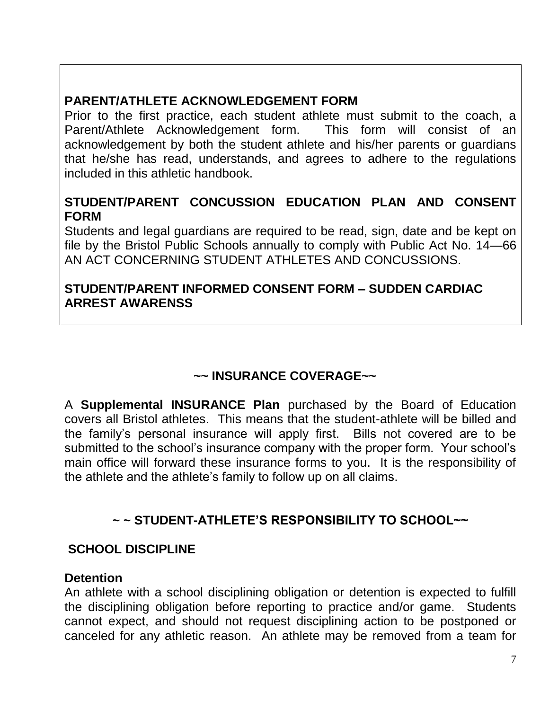## **PARENT/ATHLETE ACKNOWLEDGEMENT FORM**

Prior to the first practice, each student athlete must submit to the coach, a Parent/Athlete Acknowledgement form. This form will consist of an acknowledgement by both the student athlete and his/her parents or guardians that he/she has read, understands, and agrees to adhere to the regulations included in this athletic handbook.

#### **STUDENT/PARENT CONCUSSION EDUCATION PLAN AND CONSENT FORM**

Students and legal guardians are required to be read, sign, date and be kept on file by the Bristol Public Schools annually to comply with Public Act No. 14—66 AN ACT CONCERNING STUDENT ATHLETES AND CONCUSSIONS.

#### **STUDENT/PARENT INFORMED CONSENT FORM – SUDDEN CARDIAC ARREST AWARENSS**

## **~~ INSURANCE COVERAGE~~**

A **Supplemental INSURANCE Plan** purchased by the Board of Education covers all Bristol athletes. This means that the student-athlete will be billed and the family's personal insurance will apply first. Bills not covered are to be submitted to the school's insurance company with the proper form. Your school's main office will forward these insurance forms to you. It is the responsibility of the athlete and the athlete's family to follow up on all claims.

## **~ ~ STUDENT-ATHLETE'S RESPONSIBILITY TO SCHOOL~~**

### **SCHOOL DISCIPLINE**

#### **Detention**

An athlete with a school disciplining obligation or detention is expected to fulfill the disciplining obligation before reporting to practice and/or game. Students cannot expect, and should not request disciplining action to be postponed or canceled for any athletic reason. An athlete may be removed from a team for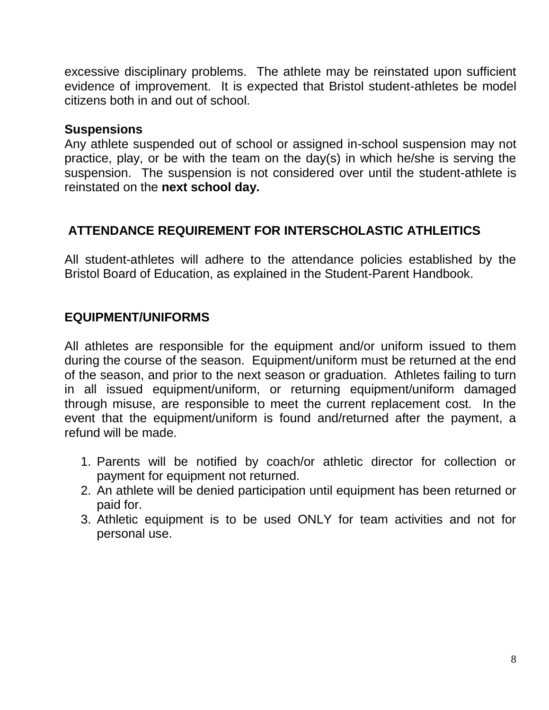excessive disciplinary problems. The athlete may be reinstated upon sufficient evidence of improvement. It is expected that Bristol student-athletes be model citizens both in and out of school.

#### **Suspensions**

Any athlete suspended out of school or assigned in-school suspension may not practice, play, or be with the team on the day(s) in which he/she is serving the suspension. The suspension is not considered over until the student-athlete is reinstated on the **next school day.**

### **ATTENDANCE REQUIREMENT FOR INTERSCHOLASTIC ATHLEITICS**

All student-athletes will adhere to the attendance policies established by the Bristol Board of Education, as explained in the Student-Parent Handbook.

### **EQUIPMENT/UNIFORMS**

All athletes are responsible for the equipment and/or uniform issued to them during the course of the season. Equipment/uniform must be returned at the end of the season, and prior to the next season or graduation. Athletes failing to turn in all issued equipment/uniform, or returning equipment/uniform damaged through misuse, are responsible to meet the current replacement cost. In the event that the equipment/uniform is found and/returned after the payment, a refund will be made.

- 1. Parents will be notified by coach/or athletic director for collection or payment for equipment not returned.
- 2. An athlete will be denied participation until equipment has been returned or paid for.
- 3. Athletic equipment is to be used ONLY for team activities and not for personal use.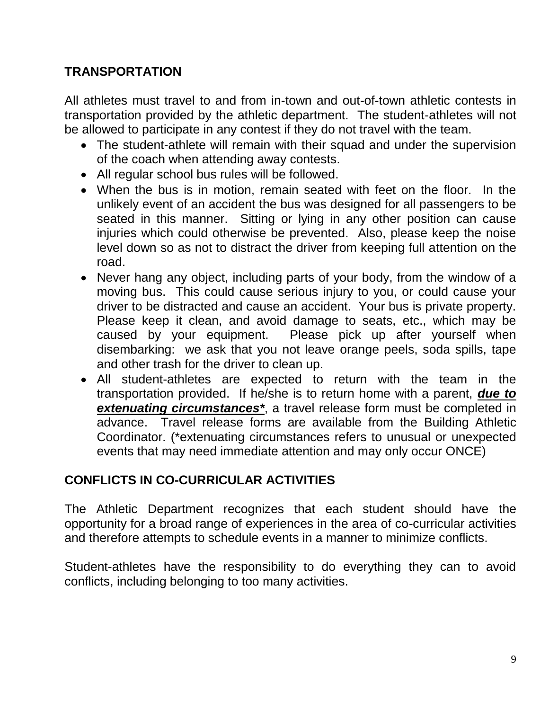## **TRANSPORTATION**

All athletes must travel to and from in-town and out-of-town athletic contests in transportation provided by the athletic department. The student-athletes will not be allowed to participate in any contest if they do not travel with the team.

- The student-athlete will remain with their squad and under the supervision of the coach when attending away contests.
- All regular school bus rules will be followed.
- When the bus is in motion, remain seated with feet on the floor. In the unlikely event of an accident the bus was designed for all passengers to be seated in this manner. Sitting or lying in any other position can cause injuries which could otherwise be prevented. Also, please keep the noise level down so as not to distract the driver from keeping full attention on the road.
- Never hang any object, including parts of your body, from the window of a moving bus. This could cause serious injury to you, or could cause your driver to be distracted and cause an accident. Your bus is private property. Please keep it clean, and avoid damage to seats, etc., which may be caused by your equipment. Please pick up after yourself when disembarking: we ask that you not leave orange peels, soda spills, tape and other trash for the driver to clean up.
- All student-athletes are expected to return with the team in the transportation provided. If he/she is to return home with a parent, *due to extenuating circumstances\**, a travel release form must be completed in advance. Travel release forms are available from the Building Athletic Coordinator. (\*extenuating circumstances refers to unusual or unexpected events that may need immediate attention and may only occur ONCE)

### **CONFLICTS IN CO-CURRICULAR ACTIVITIES**

The Athletic Department recognizes that each student should have the opportunity for a broad range of experiences in the area of co-curricular activities and therefore attempts to schedule events in a manner to minimize conflicts.

Student-athletes have the responsibility to do everything they can to avoid conflicts, including belonging to too many activities.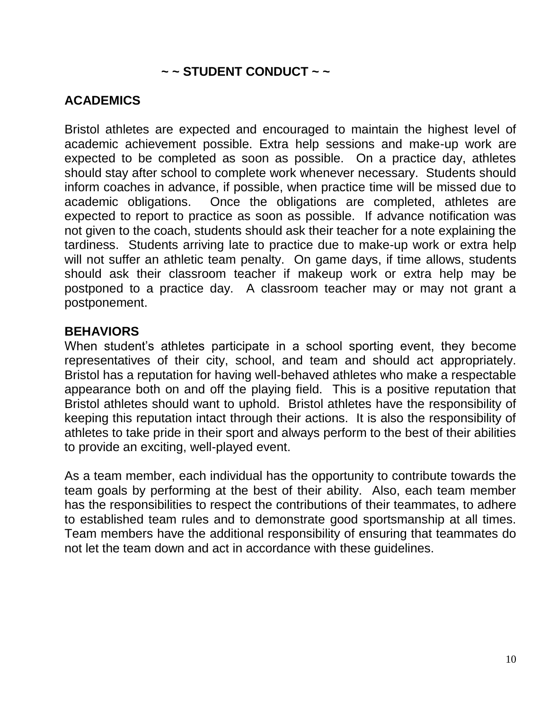### **~ ~ STUDENT CONDUCT ~ ~**

## **ACADEMICS**

Bristol athletes are expected and encouraged to maintain the highest level of academic achievement possible. Extra help sessions and make-up work are expected to be completed as soon as possible. On a practice day, athletes should stay after school to complete work whenever necessary. Students should inform coaches in advance, if possible, when practice time will be missed due to academic obligations. Once the obligations are completed, athletes are expected to report to practice as soon as possible. If advance notification was not given to the coach, students should ask their teacher for a note explaining the tardiness. Students arriving late to practice due to make-up work or extra help will not suffer an athletic team penalty. On game days, if time allows, students should ask their classroom teacher if makeup work or extra help may be postponed to a practice day. A classroom teacher may or may not grant a postponement.

#### **BEHAVIORS**

When student's athletes participate in a school sporting event, they become representatives of their city, school, and team and should act appropriately. Bristol has a reputation for having well-behaved athletes who make a respectable appearance both on and off the playing field. This is a positive reputation that Bristol athletes should want to uphold. Bristol athletes have the responsibility of keeping this reputation intact through their actions. It is also the responsibility of athletes to take pride in their sport and always perform to the best of their abilities to provide an exciting, well-played event.

As a team member, each individual has the opportunity to contribute towards the team goals by performing at the best of their ability. Also, each team member has the responsibilities to respect the contributions of their teammates, to adhere to established team rules and to demonstrate good sportsmanship at all times. Team members have the additional responsibility of ensuring that teammates do not let the team down and act in accordance with these guidelines.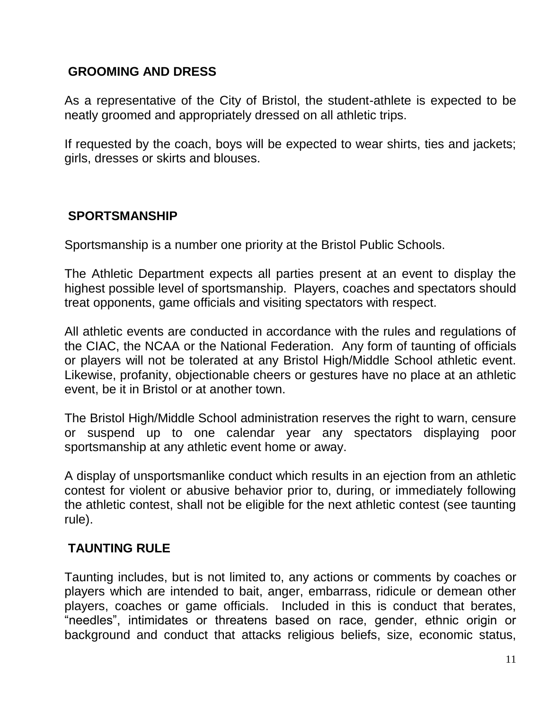### **GROOMING AND DRESS**

As a representative of the City of Bristol, the student-athlete is expected to be neatly groomed and appropriately dressed on all athletic trips.

If requested by the coach, boys will be expected to wear shirts, ties and jackets; girls, dresses or skirts and blouses.

### **SPORTSMANSHIP**

Sportsmanship is a number one priority at the Bristol Public Schools.

The Athletic Department expects all parties present at an event to display the highest possible level of sportsmanship. Players, coaches and spectators should treat opponents, game officials and visiting spectators with respect.

All athletic events are conducted in accordance with the rules and regulations of the CIAC, the NCAA or the National Federation. Any form of taunting of officials or players will not be tolerated at any Bristol High/Middle School athletic event. Likewise, profanity, objectionable cheers or gestures have no place at an athletic event, be it in Bristol or at another town.

The Bristol High/Middle School administration reserves the right to warn, censure or suspend up to one calendar year any spectators displaying poor sportsmanship at any athletic event home or away.

A display of unsportsmanlike conduct which results in an ejection from an athletic contest for violent or abusive behavior prior to, during, or immediately following the athletic contest, shall not be eligible for the next athletic contest (see taunting rule).

### **TAUNTING RULE**

Taunting includes, but is not limited to, any actions or comments by coaches or players which are intended to bait, anger, embarrass, ridicule or demean other players, coaches or game officials. Included in this is conduct that berates, "needles", intimidates or threatens based on race, gender, ethnic origin or background and conduct that attacks religious beliefs, size, economic status,